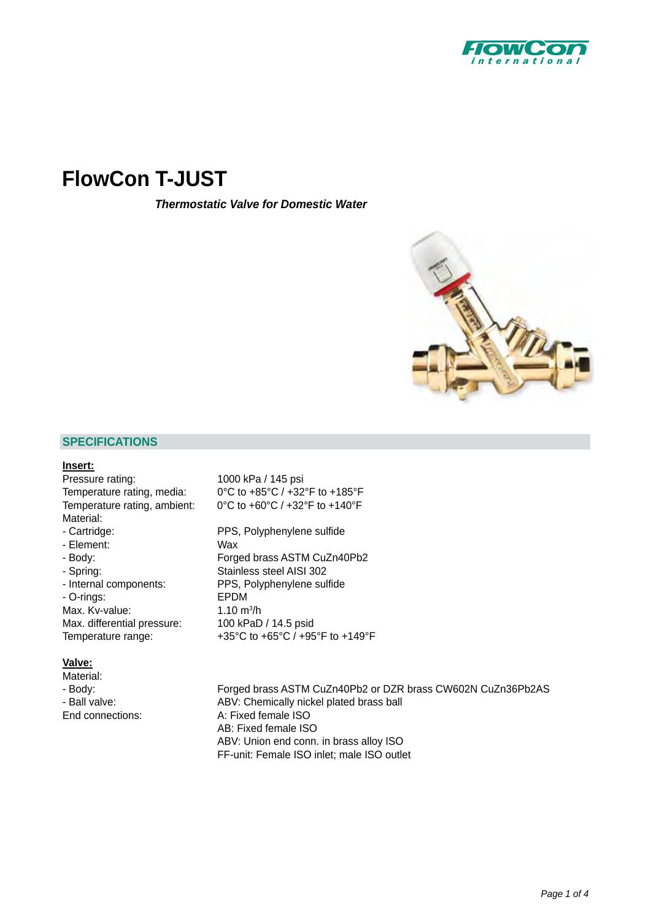

# **[FlowCon T-JUST](http://planetaklimata.com.ua/catalog/lineup/?goodsid=586&path=root-22-46-142-586)**

*Thermostatic Valve for Domestic Water*



## **SPECIFICATIONS**

#### **Insert:**

Pressure rating: 1000 kPa / 145 psi Material: - Cartridge: PPS, Polyphenylene sulfide - Element: Wax

- O-rings: EPDM Max. Kv-value: Max. differential pressure: 100 kPaD / 14.5 psid

#### **Valve:**

Material:

Temperature rating, media: 0°C to +85°C / +32°F to +185°F Temperature rating, ambient: 0°C to +60°C / +32°F to +140°F

- Body:<br>
Forged brass ASTM CuZn40Pb2<br>
Stainless steel AISI 302 Stainless steel AISI 302 - Internal components: PPS, Polyphenylene sulfide 1.10  $m^3/h$ Temperature range:  $+35^{\circ}$ C to +65°C / +95°F to +149°F

- Body: Forged brass ASTM CuZn40Pb2 or DZR brass CW602N CuZn36Pb2AS - Ball valve: ABV: Chemically nickel plated brass ball End connections: A: Fixed female ISO AB: Fixed female ISO ABV: Union end conn. in brass alloy ISO FF-unit: Female ISO inlet; male ISO outlet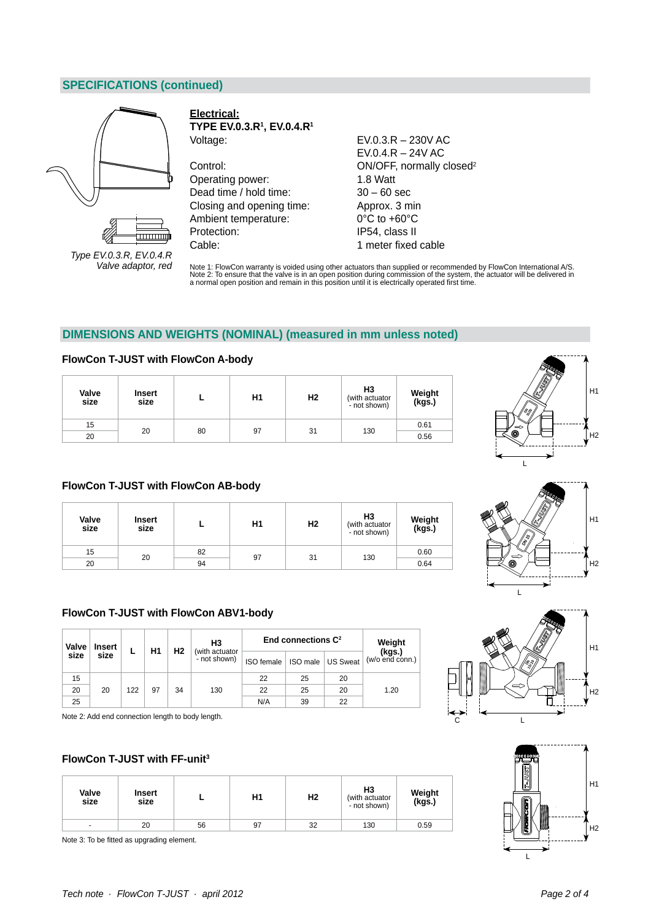# **SPECIFICATIONS (continued)**



*Type EV.0.3.R, EV.0.4.R Valve adaptor, red*

**Electrical: TYPE EV.0.3.R1 , EV.0.4.R1** Voltage: EV.0.3.R – 230V AC

Control: Control: Control: Control: Control: Control: Control: Control: Control: Control: Control: Control: Control: Control: Control: Control: Control: Control: Control: Control: Control: Control: Control: Control: Contro Operating power: 1.8 Watt Dead time / hold time: 30 – 60 sec Closing and opening time: Approx. 3 min Ambient temperature: 0°C to +60°C Protection: IP54, class II Cable: 1 meter fixed cable

EV.0.4.R – 24V AC

Note 1: FlowCon warranty is voided using other actuators than supplied or recommended by FlowCon International A/S.<br>Note 2: To ensure that the valve is in an open position during commission of the system, the actuator will

# **DIMENSIONS AND WEIGHTS (NOMINAL) (measured in mm unless noted)**

#### **FlowCon T-JUST with FlowCon A-body**

| Valve<br>size | <b>Insert</b><br>size |    | H1 | Н2 | H3<br>(with actuator<br>- not shown) | Weight<br>(kgs.) |
|---------------|-----------------------|----|----|----|--------------------------------------|------------------|
| 15            | 20                    |    |    |    |                                      | 0.61             |
| 20            |                       | 80 | 97 | 31 | 130                                  | 0.56             |









## **FlowCon T-JUST with FlowCon AB-body**

| Valve<br>size | <b>Insert</b><br>size |    | H1 | H2 | H <sub>3</sub><br>(with actuator<br>- not shown) | Weight<br>(kgs.) |
|---------------|-----------------------|----|----|----|--------------------------------------------------|------------------|
| 15            | 20                    | 82 | 97 | 31 | 130                                              | 0.60             |
| 20            |                       | 94 |    |    |                                                  | 0.64             |

## **FlowCon T-JUST with FlowCon ABV1-body**

| Valve | <b>Insert</b> |     | Η1 | H <sub>2</sub> | H <sub>3</sub><br>(with actuator |            | End connections $\mathbb{C}^2$ |                 | Weight                    |
|-------|---------------|-----|----|----------------|----------------------------------|------------|--------------------------------|-----------------|---------------------------|
| size  | size          | ь   |    |                | - not shown)                     | ISO female | ISO male                       | <b>US Sweat</b> | (kgs.)<br>(w/o end conn.) |
| 15    |               |     |    |                |                                  | 22         | 25                             | 20              |                           |
| 20    | 20            | 122 | 97 | 34             | 130                              | 22         | 25                             | 20              | 1.20                      |
| 25    |               |     |    |                |                                  | N/A        | 39                             | 22              |                           |

Note 2: Add end connection length to body length.

## **FlowCon T-JUST with FF-unit3**

| Valve<br>size  | <b>Insert</b><br>size |    | Η1 | Н2 | H <sub>3</sub><br>(with actuator<br>- not shown) | Weight<br>(kgs.) |
|----------------|-----------------------|----|----|----|--------------------------------------------------|------------------|
| $\overline{a}$ | 20                    | 56 | 97 | 32 | 130                                              | 0.59             |

Note 3: To be fitted as upgrading element.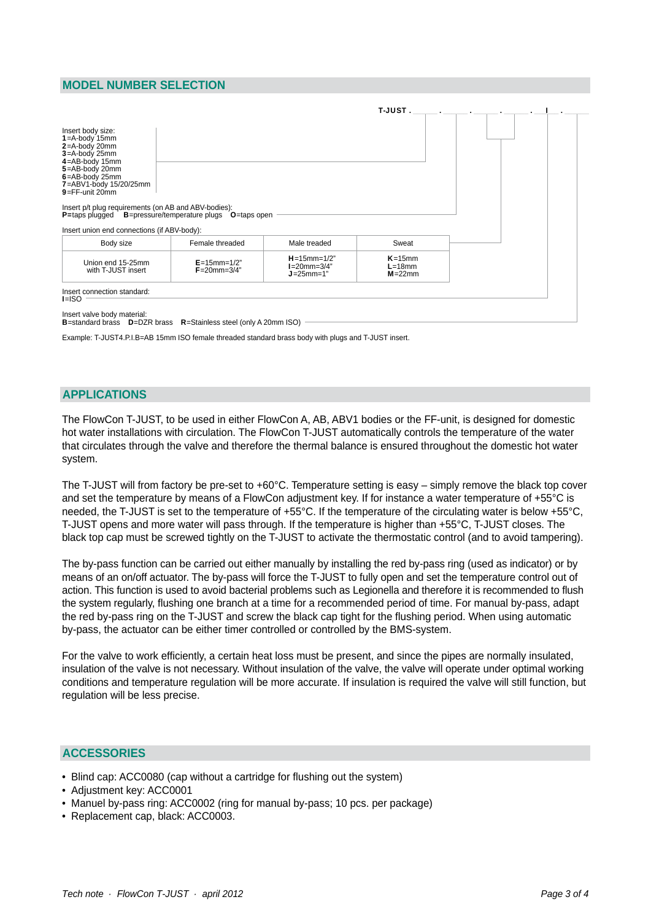# **MODEL NUMBER SELECTION**

| Insert body size:<br>$1 = A$ -body 15mm<br>2=A-body 20mm                                                                                                                                                                                                        |                                            |                                                         |                                           |  |
|-----------------------------------------------------------------------------------------------------------------------------------------------------------------------------------------------------------------------------------------------------------------|--------------------------------------------|---------------------------------------------------------|-------------------------------------------|--|
| 3=A-body 25mm<br>4=AB-body 15mm<br>5=AB-body 20mm<br>6=AB-body 25mm<br>7=ABV1-body 15/20/25mm<br>$9 = FF$ -unit 20mm<br>Insert p/t plug requirements (on AB and ABV-bodies):<br><b>P</b> =taps plugged <b>B</b> =pressure/temperature plugs <b>O</b> =taps open |                                            |                                                         |                                           |  |
| Insert union end connections (if ABV-body):                                                                                                                                                                                                                     |                                            |                                                         |                                           |  |
| Body size                                                                                                                                                                                                                                                       | Female threaded                            | Male treaded                                            | Sweat                                     |  |
| Union end 15-25mm<br>with T-JUST insert                                                                                                                                                                                                                         | $E = 15$ mm= $1/2"$<br>$F = 20$ mm= $3/4"$ | $H = 15$ mm= $1/2"$<br>$I=20$ mm=3/4"<br>$J = 25$ mm=1" | $K = 15$ mm<br>$L = 18$ mm<br>$M = 22$ mm |  |
| Insert connection standard:<br>$I = ISO$                                                                                                                                                                                                                        |                                            |                                                         |                                           |  |

Example: T-JUST4.P.I.B=AB 15mm ISO female threaded standard brass body with plugs and T-JUST insert.

## **APPLICATIONS**

The FlowCon T-JUST, to be used in either FlowCon A, AB, ABV1 bodies or the FF-unit, is designed for domestic hot water installations with circulation. The FlowCon T-JUST automatically controls the temperature of the water that circulates through the valve and therefore the thermal balance is ensured throughout the domestic hot water system.

The T-JUST will from factory be pre-set to +60°C. Temperature setting is easy – simply remove the black top cover and set the temperature by means of a FlowCon adjustment key. If for instance a water temperature of +55°C is needed, the T-JUST is set to the temperature of +55°C. If the temperature of the circulating water is below +55°C, T-JUST opens and more water will pass through. If the temperature is higher than +55°C, T-JUST closes. The black top cap must be screwed tightly on the T-JUST to activate the thermostatic control (and to avoid tampering).

The by-pass function can be carried out either manually by installing the red by-pass ring (used as indicator) or by means of an on/off actuator. The by-pass will force the T-JUST to fully open and set the temperature control out of action. This function is used to avoid bacterial problems such as Legionella and therefore it is recommended to flush the system regularly, flushing one branch at a time for a recommended period of time. For manual by-pass, adapt the red by-pass ring on the T-JUST and screw the black cap tight for the flushing period. When using automatic by-pass, the actuator can be either timer controlled or controlled by the BMS-system.

For the valve to work efficiently, a certain heat loss must be present, and since the pipes are normally insulated, insulation of the valve is not necessary. Without insulation of the valve, the valve will operate under optimal working conditions and temperature regulation will be more accurate. If insulation is required the valve will still function, but regulation will be less precise.

### **ACCESSORIES**

- Blind cap: ACC0080 (cap without a cartridge for flushing out the system)
- Adjustment key: ACC0001
- Manuel by-pass ring: ACC0002 (ring for manual by-pass; 10 pcs. per package)
- Replacement cap, black: ACC0003.